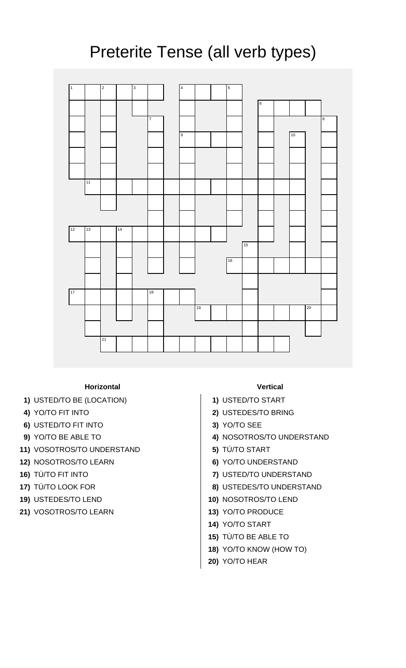## Preterite Tense (all verb types)



## **Horizontal Vertical**

- **1)** USTED/TO BE (LOCATION) **1)** USTED/TO START
- 
- **6)** USTED/TO FIT INTO **3)** YO/TO SEE
- 
- **11)** VOSOTROS/TO UNDERSTAND **5)** TÚ/TO START
- **12)** NOSOTROS/TO LEARN **6)** YO/TO UNDERSTAND
- 
- 
- 
- **21)** VOSOTROS/TO LEARN **13)** YO/TO PRODUCE

- 
- **4)** YO/TO FIT INTO **2)** USTEDES/TO BRING
	-
- **9)** YO/TO BE ABLE TO **4)** NOSOTROS/TO UNDERSTAND
	-
	-
- **16)** TÚ/TO FIT INTO **7)** USTED/TO UNDERSTAND
- **17)** TÚ/TO LOOK FOR **8)** USTEDES/TO UNDERSTAND
- **19)** USTEDES/TO LEND **10)** NOSOTROS/TO LEND
	-
	- **14)** YO/TO START
	- **15)** TÚ/TO BE ABLE TO
	- **18)** YO/TO KNOW (HOW TO)
	- **20)** YO/TO HEAR